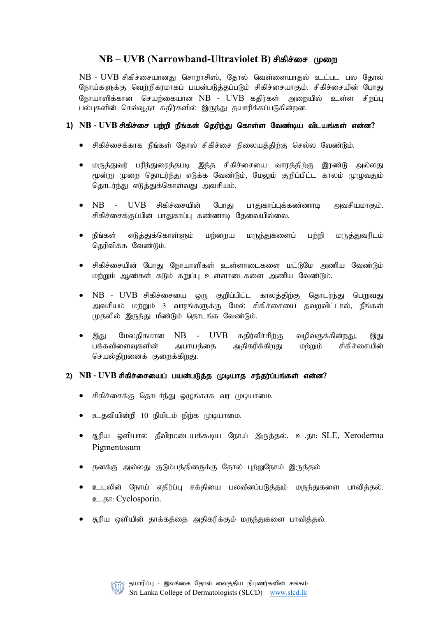# $NB - UVB$  (Narrowband-Ultraviolet B) சிகிச்சை முறை

 $NB$  -  $UVB$  சிகிச்சையானது சொறாசிஸ், தோல் வெள்ளையாகல் உட்பட பல கோல் நோய்களுக்கு வெற்றிகரமாகப் பயன்படுத்தப்படும் சிகிச்சையாகும். சிகிச்சையின் போது நோயாளிக்கான செயற்கையான $NB$  -  $UVB$  கதிர்கள் அறையில் உள்ள சிறப்பு பல்புகளின் செவ்வூதா கதிர்களில் இருந்து தயாரிக்கப்படுகின்றன.

#### 1) NB - UVB சிகிச்சை பற்றி நீங்கள் தெரிந்து கொள்ள வேண்டிய விடயங்கள் என்ன?

- சிகிச்சைக்காக நீங்கள் தோல் சிகிச்சை நிலையத்திற்கு செல்ல வேண்டும்.
- மருத்துவர் பரிந்துரைத்தபடி இந்த சிகிச்சையை வாரத்திற்கு இரண்டு அல்லது மூன்று முறை தொடர்ந்து எடுக்க வேண்டும், மேலும் குறிப்பிட்ட காலம் முழுவதும் தொடர்ந்து எடுத்துக்கொள்வது அவசியம்.
- $\overline{\text{NB}}$   $\overline{\text{UVB}}$  சிகிச்சையின் போது பாதுகாப்பக்கண்ணாடி அவசியமாகும். சிகிச்சைக்குப்பின் பாதுகாப்பு கண்ணாடி தேவையில்லை.
- நீங்கள் எடுத்துக்கொள்ளும் மற்றைய மருந்துகளைப் பற்றி மருத்துவரிடம் தெரிவிக்க வேண்டும்.
- சிகிச்சையின் போது நோயாளிகள் உள்ளாடைகளை மட்டுமே அணிய வேண்டும் மர்றும் ஆண்கள் கடும் கறுப்பு உள்ளாடைகளை அணிய வேண்டும்.
- $\bullet$  NB UVB சிகிச்சையை ஒரு குறிப்பிட்ட காலத்திற்கு தொடர்ந்து பெறுவது அவசியம் மற்றும் 3 வாரங்களுக்கு மேல் சிகிச்சையை தவறவிட்டால், நீங்கள் முதலில் இருந்து மீண்டும் தொடங்க வேண்டும்.
- $\bullet$  இது மேலதிகமான NB UVB கதிர்வீச்சிற்கு வழிவகுக்கின்றது, இது பக்கவிளைவுகளின் அபாயத்தை அதிகரிக்கிறது மற்றும் சிகிச்சையின் செயல்திறனைக் குறைக்கிறது.

#### 2) NB - UVB சிகிச்சையைப் பயன்படுத்த முடியாத சந்தர்ப்பங்கள் என்ன?

- சிகிச்சைக்கு தொடர்ந்து ஒழுங்காக வர முடியாமை.
- உதவியின்றி 10 நிமிடம் நிற்க முடியாமை.
- சூரிய ஒளியால் தீவிரமடையக்கூடிய நோய் இருக்கல். உ.கா: SLE, Xeroderma Pigmentosum
- தனக்கு அல்லது குடும்பத்தினருக்கு தோல் புற்றுநோய் இருத்தல்
- உடலின் நோய் எதிர்ப்பு சக்தியை பலவீனப்படுத்தும் மருந்துகளை பாவித்தல். **p.**.gn: Cyclosporin.
- சூரிய ஒளியின் தாக்கத்தை அதிகரிக்கும் மருந்துகளை பாவித்தல்.

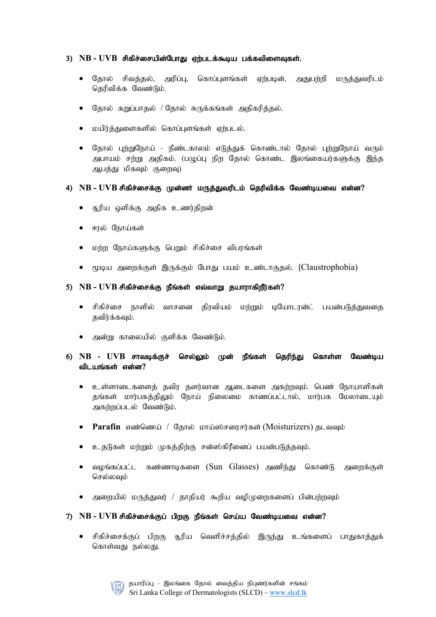### 3) NB - UVB சிகிச்சையின்போது ஏற்படக்கூடிய பக்கவிளைவுகள்.

- தோல் சிவத்தல், அரிப்பு, கொப்புளங்கள் ஏற்படின், அதுபற்றி மருத்துவரிடம் தெரிவிக்க வேண்டும்.
- தோல் கறுப்பாதல் / தோல் சுருக்கங்கள் அதிகரித்தல்.
- மயிர்த்துளைகளில் கொப்புளங்கள் ஏற்படல்.
- தோல் புற்றுநோய் நீண்டகாலம் எடுத்துக் கொண்டால் தோல் புற்றுநோய் வரும் அபாயம் சற்று அதிகம். (பழுப்பு நிற தோல் கொண்ட இலங்கையர்களுக்கு இந்த ஆபத்து மிகவும் குறைவு)

#### 4) NB - UVB சிகிச்சைக்கு முன்னர் மருத்துவரிடம் தெரிவிக்க வேண்டியவை என்ன?

- சூரிய ஒளிக்கு அதிக உணர்திறன்
- ஈரல் நோய்கள்
- மற்ற நோய்களுக்கு பெறும் சிகிச்சை விபரங்கள்
- மூடிய அறைக்குள் இருக்கும் போது பயம் உண்டாகுதல். (Claustrophobia)

#### 5) NB - UVB சிகிச்சைக்கு நீங்கள் எவ்வாறு தயாராகிறீர்கள்?

- சிகிச்சை நாளில் வாசனை திரவியம் மற்றும் டியோடரன்ட் பயன்படுத்துவதை கவிர்க்கவும்.
- அன்று காலையில் குளிக்க வேண்டும்.

## 6) NB - UVB சாவடிக்குச் செல்லும் முன் நீங்கள் தெரிந்து கொள்ள வேண்டிய விடயங்கள் என்ன $?$

- உள்ளாடைகளைத் தவிர தளர்வான ஆடைகளை அகற்றவும். பெண் நோயாளிகள் தங்கள் மார்பகத்திலும் நோய் நிலைமை காணப்பட்டால், மார்பக மேலாடையும் அகர்றப்படல் வேண்டும்.
- Parafin எண்ணெய் / தோல் மாய்ஸ்சரைசர்கள் (Moisturizers) தடவவும்
- உதடுகள் மற்றும் முகத்திற்கு சன்ஸ்கிரீனைப் பயன்படுத்தவும்.
- வழங்கப்பட்ட கண்ணாடிகளை (Sun Glasses) அணிந்து கொண்டு அரைக்குள் செல்லவும்
- அறையில் மருத்துவர் / தாதியர் கூறிய வழிமுறைகளைப் பின்பற்றவும்

#### 7) NB - UVB சிகிச்சைக்குப் பிறகு நீங்கள் செய்ய வேண்டியவை என்ன?

• சிகிச்சைக்குப் பிறகு சூரிய வெளிச்சத்தில் இருந்து உங்களைப் பாதுகாத்துக் கொள்வது நல்லது.